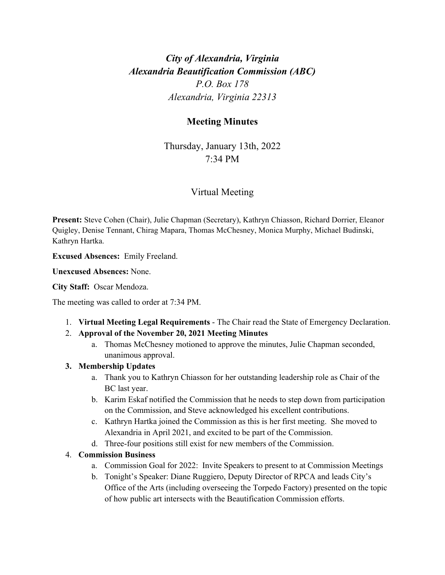# *City of Alexandria, Virginia Alexandria Beautification Commission (ABC) P.O. Box 178 Alexandria, Virginia 22313*

# **Meeting Minutes**

Thursday, January 13th, 2022 7:34 PM

# Virtual Meeting

**Present:** Steve Cohen (Chair), Julie Chapman (Secretary), Kathryn Chiasson, Richard Dorrier, Eleanor Quigley, Denise Tennant, Chirag Mapara, Thomas McChesney, Monica Murphy, Michael Budinski, Kathryn Hartka.

**Excused Absences:** Emily Freeland.

**Unexcused Absences:** None.

### **City Staff:** Oscar Mendoza.

The meeting was called to order at 7:34 PM.

- 1. **Virtual Meeting Legal Requirements** The Chair read the State of Emergency Declaration.
- 2. **Approval of the November 20, 2021 Meeting Minutes**
	- a. Thomas McChesney motioned to approve the minutes, Julie Chapman seconded, unanimous approval.

# **3. Membership Updates**

- a. Thank you to Kathryn Chiasson for her outstanding leadership role as Chair of the BC last year.
- b. Karim Eskaf notified the Commission that he needs to step down from participation on the Commission, and Steve acknowledged his excellent contributions.
- c. Kathryn Hartka joined the Commission as this is her first meeting. She moved to Alexandria in April 2021, and excited to be part of the Commission.
- d. Three-four positions still exist for new members of the Commission.

# 4. **Commission Business**

- a. Commission Goal for 2022: Invite Speakers to present to at Commission Meetings
- b. Tonight's Speaker: Diane Ruggiero, Deputy Director of RPCA and leads City's Office of the Arts (including overseeing the Torpedo Factory) presented on the topic of how public art intersects with the Beautification Commission efforts.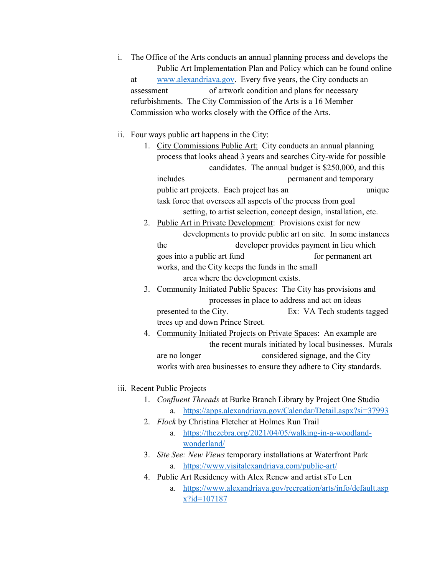i. The Office of the Arts conducts an annual planning process and develops the Public Art Implementation Plan and Policy which can be found online at [www.alexandriava.gov.](http://www.alexandriava.gov/) Every five years, the City conducts an assessment of artwork condition and plans for necessary refurbishments. The City Commission of the Arts is a 16 Member Commission who works closely with the Office of the Arts.

#### ii. Four ways public art happens in the City:

- 1. City Commissions Public Art: City conducts an annual planning process that looks ahead 3 years and searches City-wide for possible candidates. The annual budget is \$250,000, and this includes permanent and temporary public art projects. Each project has an unique task force that oversees all aspects of the process from goal setting, to artist selection, concept design, installation, etc.
- 2. Public Art in Private Development: Provisions exist for new developments to provide public art on site. In some instances the developer provides payment in lieu which goes into a public art fund for permanent art works, and the City keeps the funds in the small area where the development exists.
- 3. Community Initiated Public Spaces: The City has provisions and processes in place to address and act on ideas presented to the City. Ex: VA Tech students tagged trees up and down Prince Street.
- 4. Community Initiated Projects on Private Spaces: An example are the recent murals initiated by local businesses. Murals are no longer considered signage, and the City works with area businesses to ensure they adhere to City standards.

#### iii. Recent Public Projects

- 1. *Confluent Threads* at Burke Branch Library by Project One Studio a. <https://apps.alexandriava.gov/Calendar/Detail.aspx?si=37993>
- 2. *Flock* by Christina Fletcher at Holmes Run Trail
	- a. [https://thezebra.org/2021/04/05/walking-in-a-woodland](https://thezebra.org/2021/04/05/walking-in-a-woodland-wonderland/)[wonderland/](https://thezebra.org/2021/04/05/walking-in-a-woodland-wonderland/)
- 3. *Site See: New Views* temporary installations at Waterfront Park a. <https://www.visitalexandriava.com/public-art/>
- 4. Public Art Residency with Alex Renew and artist sTo Len
	- a. [https://www.alexandriava.gov/recreation/arts/info/default.asp](https://www.alexandriava.gov/recreation/arts/info/default.aspx?id=107187) [x?id=107187](https://www.alexandriava.gov/recreation/arts/info/default.aspx?id=107187)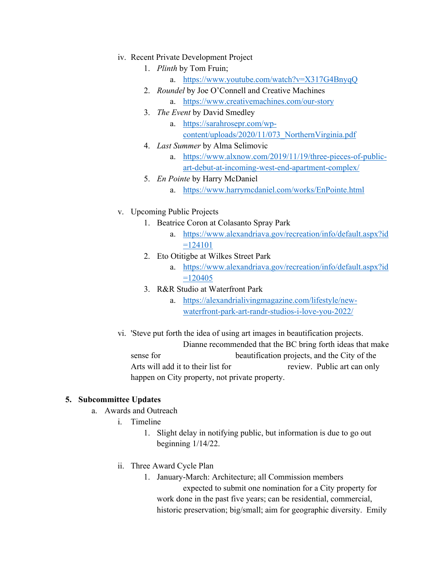- iv. Recent Private Development Project
	- 1. *Plinth* by Tom Fruin;
		- a. <https://www.youtube.com/watch?v=X317G4BnyqQ>
	- 2. *Roundel* by Joe O'Connell and Creative Machines
		- a. <https://www.creativemachines.com/our-story>
	- 3. *The Event* by David Smedley
		- a. [https://sarahrosepr.com/wp](https://sarahrosepr.com/wp-content/uploads/2020/11/073_NorthernVirginia.pdf)[content/uploads/2020/11/073\\_NorthernVirginia.pdf](https://sarahrosepr.com/wp-content/uploads/2020/11/073_NorthernVirginia.pdf)
	- 4. *Last Summer* by Alma Selimovic
		- a. [https://www.alxnow.com/2019/11/19/three-pieces-of-public](https://www.alxnow.com/2019/11/19/three-pieces-of-public-art-debut-at-incoming-west-end-apartment-complex/)[art-debut-at-incoming-west-end-apartment-complex/](https://www.alxnow.com/2019/11/19/three-pieces-of-public-art-debut-at-incoming-west-end-apartment-complex/)
	- 5. *En Pointe* by Harry McDaniel
		- a. <https://www.harrymcdaniel.com/works/EnPointe.html>
- v. Upcoming Public Projects
	- 1. Beatrice Coron at Colasanto Spray Park
		- a. [https://www.alexandriava.gov/recreation/info/default.aspx?id](https://www.alexandriava.gov/recreation/info/default.aspx?id=124101)  $=124101$
	- 2. Eto Otitigbe at Wilkes Street Park
		- a. [https://www.alexandriava.gov/recreation/info/default.aspx?id](https://www.alexandriava.gov/recreation/info/default.aspx?id=120405)  $=120405$
	- 3. R&R Studio at Waterfront Park
		- a. [https://alexandrialivingmagazine.com/lifestyle/new](https://alexandrialivingmagazine.com/lifestyle/new-waterfront-park-art-randr-studios-i-love-you-2022/)[waterfront-park-art-randr-studios-i-love-you-2022/](https://alexandrialivingmagazine.com/lifestyle/new-waterfront-park-art-randr-studios-i-love-you-2022/)
- vi. 'Steve put forth the idea of using art images in beautification projects. Dianne recommended that the BC bring forth ideas that make sense for beautification projects, and the City of the Arts will add it to their list for review. Public art can only happen on City property, not private property.

# **5. Subcommittee Updates**

- a. Awards and Outreach
	- i. Timeline
		- 1. Slight delay in notifying public, but information is due to go out beginning 1/14/22.
	- ii. Three Award Cycle Plan
		- 1. January-March: Architecture; all Commission members expected to submit one nomination for a City property for work done in the past five years; can be residential, commercial, historic preservation; big/small; aim for geographic diversity. Emily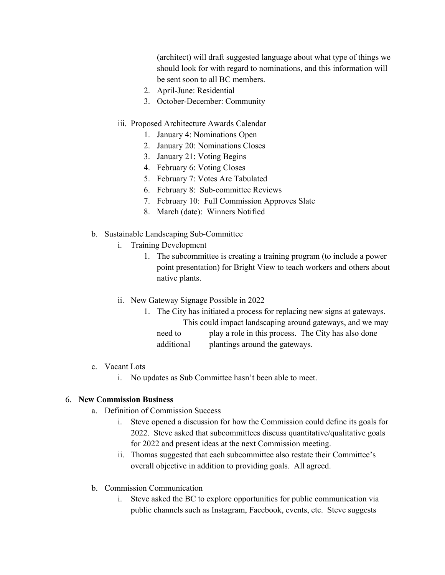(architect) will draft suggested language about what type of things we should look for with regard to nominations, and this information will be sent soon to all BC members.

- 2. April-June: Residential
- 3. October-December: Community

### iii. Proposed Architecture Awards Calendar

- 1. January 4: Nominations Open
- 2. January 20: Nominations Closes
- 3. January 21: Voting Begins
- 4. February 6: Voting Closes
- 5. February 7: Votes Are Tabulated
- 6. February 8: Sub-committee Reviews
- 7. February 10: Full Commission Approves Slate
- 8. March (date): Winners Notified
- b. Sustainable Landscaping Sub-Committee
	- i. Training Development
		- 1. The subcommittee is creating a training program (to include a power point presentation) for Bright View to teach workers and others about native plants.
	- ii. New Gateway Signage Possible in 2022
		- 1. The City has initiated a process for replacing new signs at gateways. This could impact landscaping around gateways, and we may
			- need to play a role in this process. The City has also done additional plantings around the gateways.
- c. Vacant Lots
	- i. No updates as Sub Committee hasn't been able to meet.

# 6. **New Commission Business**

- a. Definition of Commission Success
	- i. Steve opened a discussion for how the Commission could define its goals for 2022. Steve asked that subcommittees discuss quantitative/qualitative goals for 2022 and present ideas at the next Commission meeting.
	- ii. Thomas suggested that each subcommittee also restate their Committee's overall objective in addition to providing goals. All agreed.
- b. Commission Communication
	- i. Steve asked the BC to explore opportunities for public communication via public channels such as Instagram, Facebook, events, etc. Steve suggests